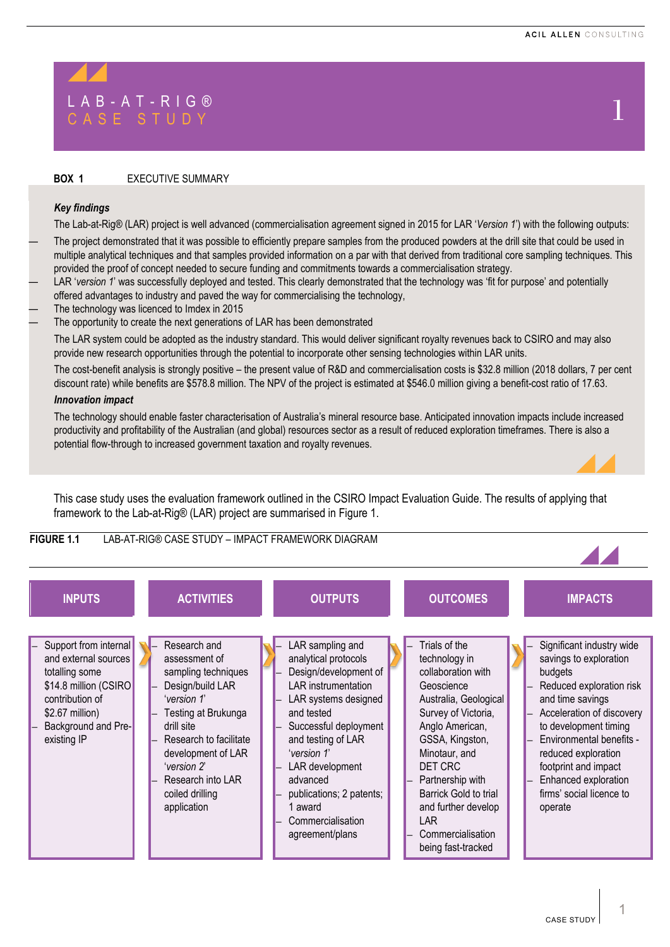# LAB-AT-RIG®<br>CASE STUDY 1

### **BOX 1** EXECUTIVE SUMMARY

#### *Key findings*

The Lab-at-Rig® (LAR) project is well advanced (commercialisation agreement signed in 2015 for LAR '*Version 1*') with the following outputs:

The project demonstrated that it was possible to efficiently prepare samples from the produced powders at the drill site that could be used in multiple analytical techniques and that samples provided information on a par with that derived from traditional core sampling techniques. This provided the proof of concept needed to secure funding and commitments towards a commercialisation strategy.

- LAR '*version 1*' was successfully deployed and tested. This clearly demonstrated that the technology was 'fit for purpose' and potentially offered advantages to industry and paved the way for commercialising the technology,
- The technology was licenced to Imdex in 2015
- The opportunity to create the next generations of LAR has been demonstrated

The LAR system could be adopted as the industry standard. This would deliver significant royalty revenues back to CSIRO and may also provide new research opportunities through the potential to incorporate other sensing technologies within LAR units.

The cost-benefit analysis is strongly positive – the present value of R&D and commercialisation costs is \$32.8 million (2018 dollars, 7 per cent discount rate) while benefits are \$578.8 million. The NPV of the project is estimated at \$546.0 million giving a benefit-cost ratio of 17.63.

#### *Innovation impact*

The technology should enable faster characterisation of Australia's mineral resource base. Anticipated innovation impacts include increased productivity and profitability of the Australian (and global) resources sector as a result of reduced exploration timeframes. There is also a potential flow-through to increased government taxation and royalty revenues.

This case study uses the evaluation framework outlined in the CSIRO Impact Evaluation Guide. The results of applying that framework to the Lab-at-Rig® (LAR) project are summarised in Figure 1.

# **FIGURE 1.1** LAB-AT-RIG® CASE STUDY – IMPACT FRAMEWORK DIAGRAM



1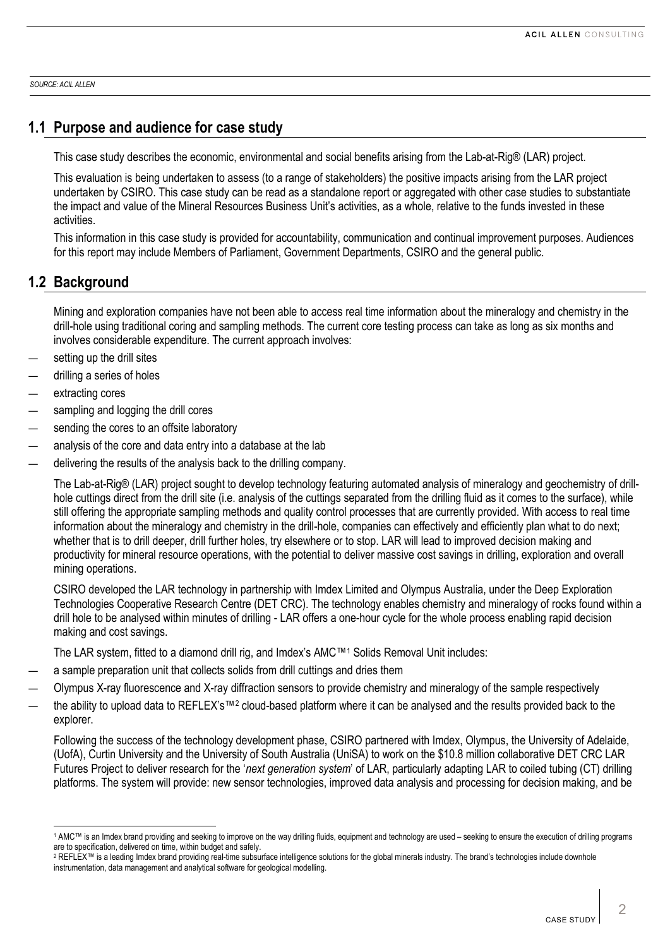*SOURCE: ACIL ALLEN*

# **1.1 Purpose and audience for case study**

This case study describes the economic, environmental and social benefits arising from the Lab-at-Rig® (LAR) project.

This evaluation is being undertaken to assess (to a range of stakeholders) the positive impacts arising from the LAR project undertaken by CSIRO. This case study can be read as a standalone report or aggregated with other case studies to substantiate the impact and value of the Mineral Resources Business Unit's activities, as a whole, relative to the funds invested in these activities.

This information in this case study is provided for accountability, communication and continual improvement purposes. Audiences for this report may include Members of Parliament, Government Departments, CSIRO and the general public.

# **1.2 Background**

Mining and exploration companies have not been able to access real time information about the mineralogy and chemistry in the drill-hole using traditional coring and sampling methods. The current core testing process can take as long as six months and involves considerable expenditure. The current approach involves:

- setting up the drill sites
- drilling a series of holes
- extracting cores
- sampling and logging the drill cores
- sending the cores to an offsite laboratory
- analysis of the core and data entry into a database at the lab
- delivering the results of the analysis back to the drilling company.

The Lab-at-Rig® (LAR) project sought to develop technology featuring automated analysis of mineralogy and geochemistry of drillhole cuttings direct from the drill site (i.e. analysis of the cuttings separated from the drilling fluid as it comes to the surface), while still offering the appropriate sampling methods and quality control processes that are currently provided. With access to real time information about the mineralogy and chemistry in the drill-hole, companies can effectively and efficiently plan what to do next; whether that is to drill deeper, drill further holes, try elsewhere or to stop. LAR will lead to improved decision making and productivity for mineral resource operations, with the potential to deliver massive cost savings in drilling, exploration and overall mining operations.

CSIRO developed the LAR technology in partnership with Imdex Limited and Olympus Australia, under the Deep Exploration Technologies Cooperative Research Centre (DET CRC). The technology enables chemistry and mineralogy of rocks found within a drill hole to be analysed within minutes of drilling - LAR offers a one-hour cycle for the whole process enabling rapid decision making and cost savings.

The LAR system, fitted to a diamond drill rig, and Imdex's AMC™[1](#page-1-0) Solids Removal Unit includes:

- a sample preparation unit that collects solids from drill cuttings and dries them
- Olympus X-ray fluorescence and X-ray diffraction sensors to provide chemistry and mineralogy of the sample respectively
- the ability to upload data to REFLEX's™<sup>[2](#page-1-1)</sup> cloud-based platform where it can be analysed and the results provided back to the explorer.

Following the success of the technology development phase, CSIRO partnered with Imdex, Olympus, the University of Adelaide, (UofA), Curtin University and the University of South Australia (UniSA) to work on the \$10.8 million collaborative DET CRC LAR Futures Project to deliver research for the '*next generation system*' of LAR, particularly adapting LAR to coiled tubing (CT) drilling platforms. The system will provide: new sensor technologies, improved data analysis and processing for decision making, and be

<span id="page-1-0"></span><sup>1</sup> AMC™ is an Imdex brand providing and seeking to improve on the way drilling fluids, equipment and technology are used – seeking to ensure the execution of drilling programs are to specification, delivered on time, within budget and safely.

<span id="page-1-1"></span><sup>&</sup>lt;sup>2</sup> REFLEX™ is a leading Imdex brand providing real-time subsurface intelligence solutions for the global minerals industry. The brand's technologies include downhole instrumentation, data management and analytical software for geological modelling.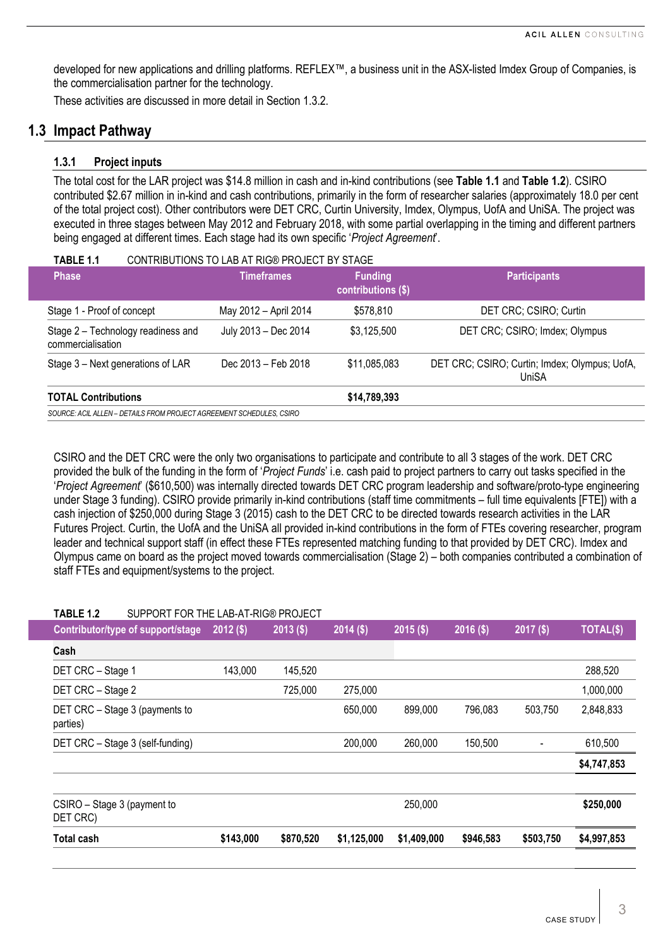developed for new applications and drilling platforms. REFLEX™, a business unit in the ASX-listed Imdex Group of Companies, is the commercialisation partner for the technology.

These activities are discussed in more detail in Section [1.3.2.](#page-3-0)

# **1.3 Impact Pathway**

# **1.3.1 Project inputs**

The total cost for the LAR project was \$14.8 million in cash and in-kind contributions (see **[Table](#page-2-0) 1.1** and **[Table](#page-2-1) 1.2**). CSIRO contributed \$2.67 million in in-kind and cash contributions, primarily in the form of researcher salaries (approximately 18.0 per cent of the total project cost). Other contributors were DET CRC, Curtin University, Imdex, Olympus, UofA and UniSA. The project was executed in three stages between May 2012 and February 2018, with some partial overlapping in the timing and different partners being engaged at different times. Each stage had its own specific '*Project Agreement*'.

<span id="page-2-0"></span>

| TABLE 1.1                                                            | CONTRIBUTIONS TO LAB AT RIG® PROJECT BY STAGE             |              |                                                        |  |  |  |  |  |
|----------------------------------------------------------------------|-----------------------------------------------------------|--------------|--------------------------------------------------------|--|--|--|--|--|
| <b>Phase</b>                                                         | <b>Timeframes</b><br><b>Funding</b><br>contributions (\$) |              | <b>Participants</b>                                    |  |  |  |  |  |
| Stage 1 - Proof of concept                                           | May 2012 - April 2014                                     | \$578,810    | DET CRC; CSIRO; Curtin                                 |  |  |  |  |  |
| Stage 2 - Technology readiness and<br>commercialisation              | July 2013 - Dec 2014                                      | \$3,125,500  | DET CRC; CSIRO; Imdex; Olympus                         |  |  |  |  |  |
| Stage 3 – Next generations of LAR                                    | Dec 2013 - Feb 2018                                       | \$11,085,083 | DET CRC; CSIRO; Curtin; Imdex; Olympus; UofA,<br>UniSA |  |  |  |  |  |
| <b>TOTAL Contributions</b>                                           |                                                           | \$14,789,393 |                                                        |  |  |  |  |  |
| SOURCE: ACIL ALLEN – DETAILS FROM PROJECT AGREEMENT SCHEDULES. CSIRO |                                                           |              |                                                        |  |  |  |  |  |

CSIRO and the DET CRC were the only two organisations to participate and contribute to all 3 stages of the work. DET CRC provided the bulk of the funding in the form of '*Project Funds*' i.e. cash paid to project partners to carry out tasks specified in the '*Project Agreement*' (\$610,500) was internally directed towards DET CRC program leadership and software/proto-type engineering under Stage 3 funding). CSIRO provide primarily in-kind contributions (staff time commitments – full time equivalents [FTE]) with a cash injection of \$250,000 during Stage 3 (2015) cash to the DET CRC to be directed towards research activities in the LAR Futures Project. Curtin, the UofA and the UniSA all provided in-kind contributions in the form of FTEs covering researcher, program leader and technical support staff (in effect these FTEs represented matching funding to that provided by DET CRC). Imdex and Olympus came on board as the project moved towards commercialisation (Stage 2) – both companies contributed a combination of staff FTEs and equipment/systems to the project.

<span id="page-2-1"></span>

| <b>Total cash</b>                                       | \$143,000   | \$870,520   | \$1,125,000 | \$1,409,000 | \$946,583   | \$503,750                | \$4,997,853 |
|---------------------------------------------------------|-------------|-------------|-------------|-------------|-------------|--------------------------|-------------|
| CSIRO - Stage 3 (payment to<br>DET CRC)                 |             |             |             | 250,000     |             |                          | \$250,000   |
|                                                         |             |             |             |             |             |                          |             |
|                                                         |             |             |             |             |             |                          | \$4,747,853 |
| DET CRC - Stage 3 (self-funding)                        |             |             | 200,000     | 260,000     | 150,500     | $\overline{\phantom{a}}$ | 610,500     |
| DET CRC - Stage 3 (payments to<br>parties)              |             |             | 650,000     | 899,000     | 796,083     | 503,750                  | 2,848,833   |
| DET CRC - Stage 2                                       |             | 725,000     | 275,000     |             |             |                          | 1,000,000   |
| DET CRC - Stage 1                                       | 143,000     | 145,520     |             |             |             |                          | 288,520     |
| Cash                                                    |             |             |             |             |             |                          |             |
| Contributor/type of support/stage                       | $2012($ \$) | $2013($ \$) | $2014($ \$) | $2015($ \$) | $2016($ \$) | $2017($ \$)              | TOTAL(\$)   |
| SUPPORT FOR THE LAB-AT-RIG® PROJECT<br><b>TABLE 1.2</b> |             |             |             |             |             |                          |             |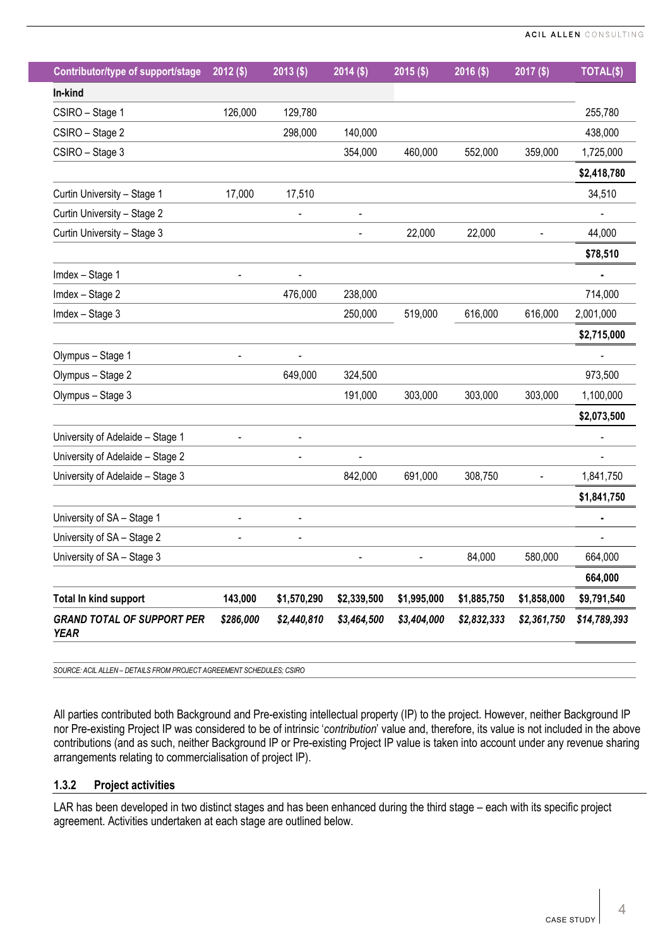| Contributor/type of support/stage                | $2012($ \$) | $2013($ \$) | $2014($ \$)    | $2015($ \$) | $2016($ \$) | 2017 (\$)   | TOTAL(\$)    |
|--------------------------------------------------|-------------|-------------|----------------|-------------|-------------|-------------|--------------|
| In-kind                                          |             |             |                |             |             |             |              |
| CSIRO - Stage 1                                  | 126,000     | 129,780     |                |             |             |             | 255,780      |
| CSIRO - Stage 2                                  |             | 298,000     | 140,000        |             |             |             | 438,000      |
| CSIRO - Stage 3                                  |             |             | 354,000        | 460,000     | 552,000     | 359,000     | 1,725,000    |
|                                                  |             |             |                |             |             |             | \$2,418,780  |
| Curtin University - Stage 1                      | 17,000      | 17,510      |                |             |             |             | 34,510       |
| Curtin University - Stage 2                      |             |             | $\blacksquare$ |             |             |             |              |
| Curtin University - Stage 3                      |             |             |                | 22,000      | 22,000      |             | 44,000       |
|                                                  |             |             |                |             |             |             | \$78,510     |
| Imdex - Stage 1                                  |             |             |                |             |             |             |              |
| Imdex - Stage 2                                  |             | 476,000     | 238,000        |             |             |             | 714,000      |
| Imdex - Stage 3                                  |             |             | 250,000        | 519,000     | 616,000     | 616,000     | 2,001,000    |
|                                                  |             |             |                |             |             |             | \$2,715,000  |
| Olympus - Stage 1                                |             |             |                |             |             |             |              |
| Olympus - Stage 2                                |             | 649,000     | 324,500        |             |             |             | 973,500      |
| Olympus - Stage 3                                |             |             | 191,000        | 303,000     | 303,000     | 303,000     | 1,100,000    |
|                                                  |             |             |                |             |             |             | \$2,073,500  |
| University of Adelaide - Stage 1                 |             |             |                |             |             |             |              |
| University of Adelaide - Stage 2                 |             |             |                |             |             |             |              |
| University of Adelaide - Stage 3                 |             |             | 842,000        | 691,000     | 308,750     |             | 1,841,750    |
|                                                  |             |             |                |             |             |             | \$1,841,750  |
| University of SA - Stage 1                       |             |             |                |             |             |             |              |
| University of SA - Stage 2                       |             |             |                |             |             |             |              |
| University of SA - Stage 3                       |             |             |                |             | 84,000      | 580,000     | 664,000      |
|                                                  |             |             |                |             |             |             | 664,000      |
| <b>Total In kind support</b>                     | 143,000     | \$1,570,290 | \$2,339,500    | \$1,995,000 | \$1,885,750 | \$1,858,000 | \$9,791,540  |
| <b>GRAND TOTAL OF SUPPORT PER</b><br><b>YEAR</b> | \$286,000   | \$2,440,810 | \$3,464,500    | \$3,404,000 | \$2,832,333 | \$2,361,750 | \$14,789,393 |

*SOURCE: ACIL ALLEN – DETAILS FROM PROJECT AGREEMENT SCHEDULES; CSIRO*

All parties contributed both Background and Pre-existing intellectual property (IP) to the project. However, neither Background IP nor Pre-existing Project IP was considered to be of intrinsic '*contribution*' value and, therefore, its value is not included in the above contributions (and as such, neither Background IP or Pre-existing Project IP value is taken into account under any revenue sharing arrangements relating to commercialisation of project IP).

## <span id="page-3-0"></span>**1.3.2 Project activities**

LAR has been developed in two distinct stages and has been enhanced during the third stage – each with its specific project agreement. Activities undertaken at each stage are outlined below.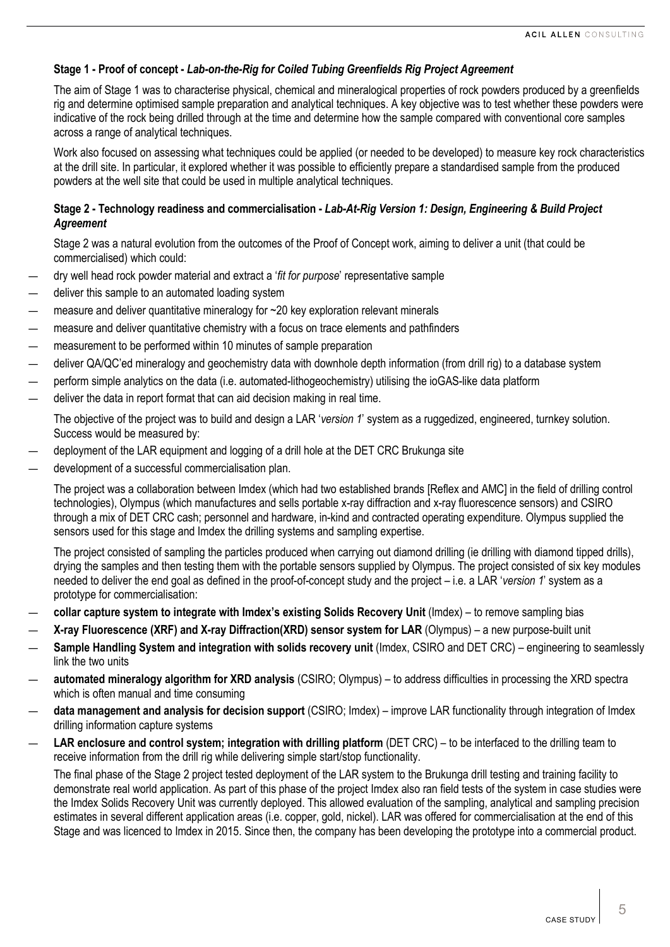# **Stage 1 - Proof of concept -** *Lab-on-the-Rig for Coiled Tubing Greenfields Rig Project Agreement*

The aim of Stage 1 was to characterise physical, chemical and mineralogical properties of rock powders produced by a greenfields rig and determine optimised sample preparation and analytical techniques. A key objective was to test whether these powders were indicative of the rock being drilled through at the time and determine how the sample compared with conventional core samples across a range of analytical techniques.

Work also focused on assessing what techniques could be applied (or needed to be developed) to measure key rock characteristics at the drill site. In particular, it explored whether it was possible to efficiently prepare a standardised sample from the produced powders at the well site that could be used in multiple analytical techniques.

## **Stage 2 - Technology readiness and commercialisation -** *Lab-At-Rig Version 1: Design, Engineering & Build Project Agreement*

Stage 2 was a natural evolution from the outcomes of the Proof of Concept work, aiming to deliver a unit (that could be commercialised) which could:

- dry well head rock powder material and extract a '*fit for purpose*' representative sample
- deliver this sample to an automated loading system
- measure and deliver quantitative mineralogy for  $\sim$  20 key exploration relevant minerals
- measure and deliver quantitative chemistry with a focus on trace elements and pathfinders
- measurement to be performed within 10 minutes of sample preparation
- deliver QA/QC'ed mineralogy and geochemistry data with downhole depth information (from drill rig) to a database system
- perform simple analytics on the data (i.e. automated-lithogeochemistry) utilising the ioGAS-like data platform
- deliver the data in report format that can aid decision making in real time.

The objective of the project was to build and design a LAR '*version 1*' system as a ruggedized, engineered, turnkey solution. Success would be measured by:

- deployment of the LAR equipment and logging of a drill hole at the DET CRC Brukunga site
- development of a successful commercialisation plan.

The project was a collaboration between Imdex (which had two established brands [Reflex and AMC] in the field of drilling control technologies), Olympus (which manufactures and sells portable x-ray diffraction and x-ray fluorescence sensors) and CSIRO through a mix of DET CRC cash; personnel and hardware, in-kind and contracted operating expenditure. Olympus supplied the sensors used for this stage and Imdex the drilling systems and sampling expertise.

The project consisted of sampling the particles produced when carrying out diamond drilling (ie drilling with diamond tipped drills), drying the samples and then testing them with the portable sensors supplied by Olympus. The project consisted of six key modules needed to deliver the end goal as defined in the proof-of-concept study and the project – i.e. a LAR '*version 1*' system as a prototype for commercialisation:

- **collar capture system to integrate with Imdex's existing Solids Recovery Unit** (Imdex) to remove sampling bias
- **X-ray Fluorescence (XRF) and X-ray Diffraction(XRD) sensor system for LAR** (Olympus) a new purpose-built unit
- **Sample Handling System and integration with solids recovery unit** (Imdex, CSIRO and DET CRC) engineering to seamlessly link the two units
- **automated mineralogy algorithm for XRD analysis** (CSIRO; Olympus) to address difficulties in processing the XRD spectra which is often manual and time consuming
- **data management and analysis for decision support** (CSIRO; Imdex) improve LAR functionality through integration of Imdex drilling information capture systems
- **LAR enclosure and control system; integration with drilling platform** (DET CRC) to be interfaced to the drilling team to receive information from the drill rig while delivering simple start/stop functionality.

The final phase of the Stage 2 project tested deployment of the LAR system to the Brukunga drill testing and training facility to demonstrate real world application. As part of this phase of the project Imdex also ran field tests of the system in case studies were the Imdex Solids Recovery Unit was currently deployed. This allowed evaluation of the sampling, analytical and sampling precision estimates in several different application areas (i.e. copper, gold, nickel). LAR was offered for commercialisation at the end of this Stage and was licenced to Imdex in 2015. Since then, the company has been developing the prototype into a commercial product.

5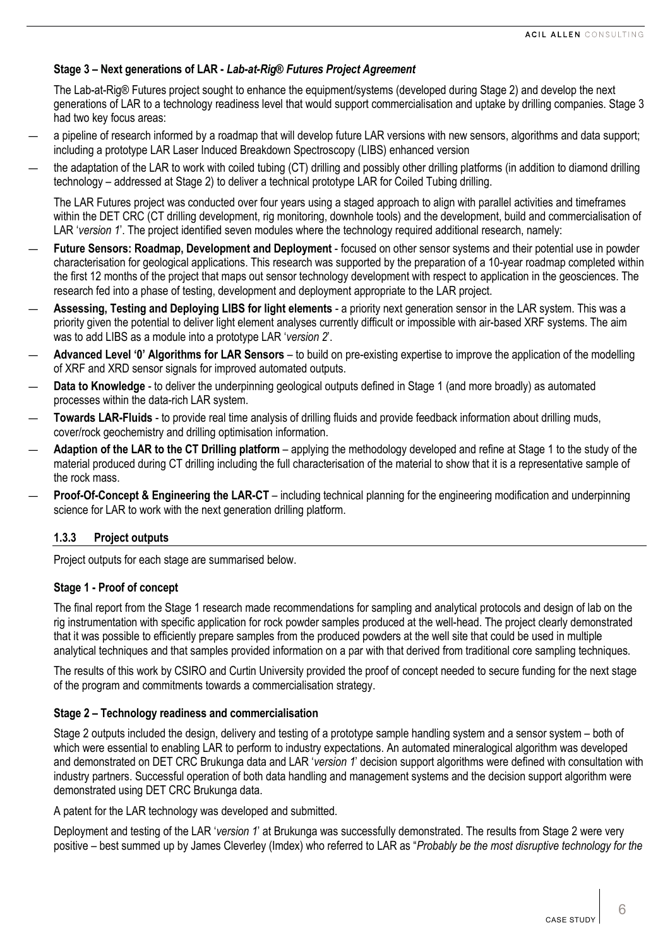# **Stage 3 – Next generations of LAR -** *Lab-at-Rig® Futures Project Agreement*

The Lab-at-Rig® Futures project sought to enhance the equipment/systems (developed during Stage 2) and develop the next generations of LAR to a technology readiness level that would support commercialisation and uptake by drilling companies. Stage 3 had two key focus areas:

- a pipeline of research informed by a roadmap that will develop future LAR versions with new sensors, algorithms and data support; including a prototype LAR Laser Induced Breakdown Spectroscopy (LIBS) enhanced version
- the adaptation of the LAR to work with coiled tubing (CT) drilling and possibly other drilling platforms (in addition to diamond drilling technology – addressed at Stage 2) to deliver a technical prototype LAR for Coiled Tubing drilling.

The LAR Futures project was conducted over four years using a staged approach to align with parallel activities and timeframes within the DET CRC (CT drilling development, rig monitoring, downhole tools) and the development, build and commercialisation of LAR '*version 1*'. The project identified seven modules where the technology required additional research, namely:

- **Future Sensors: Roadmap, Development and Deployment** focused on other sensor systems and their potential use in powder characterisation for geological applications. This research was supported by the preparation of a 10-year roadmap completed within the first 12 months of the project that maps out sensor technology development with respect to application in the geosciences. The research fed into a phase of testing, development and deployment appropriate to the LAR project.
- **Assessing, Testing and Deploying LIBS for light elements** a priority next generation sensor in the LAR system. This was a priority given the potential to deliver light element analyses currently difficult or impossible with air-based XRF systems. The aim was to add LIBS as a module into a prototype LAR '*version 2*'.
- **Advanced Level '0' Algorithms for LAR Sensors** to build on pre-existing expertise to improve the application of the modelling of XRF and XRD sensor signals for improved automated outputs.
- Data to Knowledge to deliver the underpinning geological outputs defined in Stage 1 (and more broadly) as automated processes within the data-rich LAR system.
- **Towards LAR-Fluids** to provide real time analysis of drilling fluids and provide feedback information about drilling muds, cover/rock geochemistry and drilling optimisation information.
- **Adaption of the LAR to the CT Drilling platform** applying the methodology developed and refine at Stage 1 to the study of the material produced during CT drilling including the full characterisation of the material to show that it is a representative sample of the rock mass.
- **Proof-Of-Concept & Engineering the LAR-CT** including technical planning for the engineering modification and underpinning science for LAR to work with the next generation drilling platform.

# **1.3.3 Project outputs**

Project outputs for each stage are summarised below.

#### **Stage 1 - Proof of concept**

The final report from the Stage 1 research made recommendations for sampling and analytical protocols and design of lab on the rig instrumentation with specific application for rock powder samples produced at the well-head. The project clearly demonstrated that it was possible to efficiently prepare samples from the produced powders at the well site that could be used in multiple analytical techniques and that samples provided information on a par with that derived from traditional core sampling techniques.

The results of this work by CSIRO and Curtin University provided the proof of concept needed to secure funding for the next stage of the program and commitments towards a commercialisation strategy.

#### **Stage 2 – Technology readiness and commercialisation**

Stage 2 outputs included the design, delivery and testing of a prototype sample handling system and a sensor system – both of which were essential to enabling LAR to perform to industry expectations. An automated mineralogical algorithm was developed and demonstrated on DET CRC Brukunga data and LAR '*version 1*' decision support algorithms were defined with consultation with industry partners. Successful operation of both data handling and management systems and the decision support algorithm were demonstrated using DET CRC Brukunga data.

A patent for the LAR technology was developed and submitted.

Deployment and testing of the LAR '*version 1*' at Brukunga was successfully demonstrated. The results from Stage 2 were very positive – best summed up by James Cleverley (Imdex) who referred to LAR as "*Probably be the most disruptive technology for the*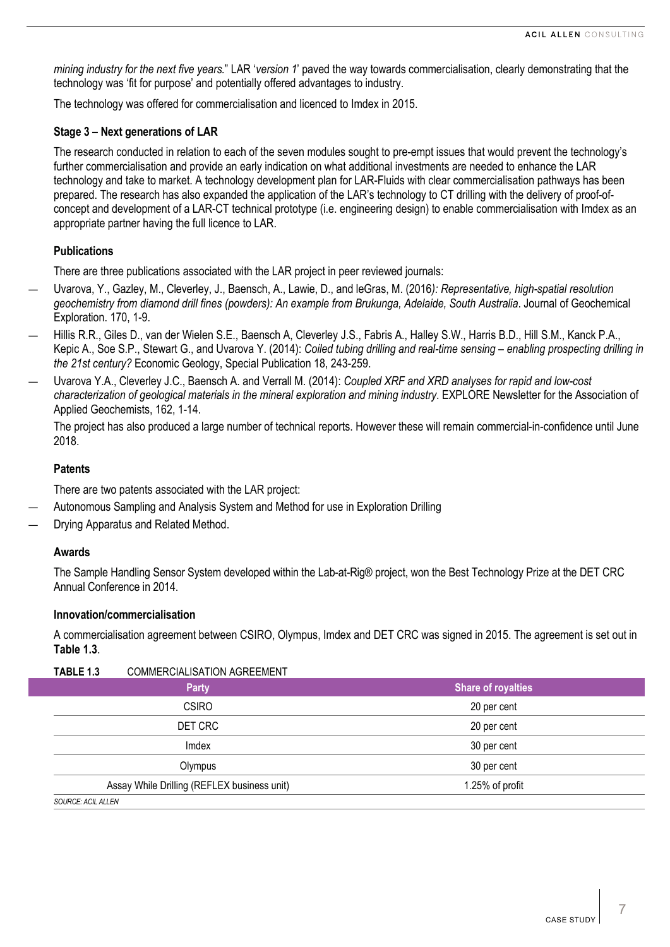*mining industry for the next five years.*" LAR '*version 1*' paved the way towards commercialisation, clearly demonstrating that the technology was 'fit for purpose' and potentially offered advantages to industry.

The technology was offered for commercialisation and licenced to Imdex in 2015.

#### **Stage 3 – Next generations of LAR**

The research conducted in relation to each of the seven modules sought to pre-empt issues that would prevent the technology's further commercialisation and provide an early indication on what additional investments are needed to enhance the LAR technology and take to market. A technology development plan for LAR-Fluids with clear commercialisation pathways has been prepared. The research has also expanded the application of the LAR's technology to CT drilling with the delivery of proof-ofconcept and development of a LAR-CT technical prototype (i.e. engineering design) to enable commercialisation with Imdex as an appropriate partner having the full licence to LAR.

### **Publications**

There are three publications associated with the LAR project in peer reviewed journals:

- Uvarova, Y., Gazley, M., Cleverley, J., Baensch, A., Lawie, D., and leGras, M. (2016*): Representative, high-spatial resolution geochemistry from diamond drill fines (powders): An example from Brukunga, Adelaide, South Australia*. Journal of Geochemical Exploration. 170, 1-9.
- Hillis R.R., Giles D., van der Wielen S.E., Baensch A, Cleverley J.S., Fabris A., Halley S.W., Harris B.D., Hill S.M., Kanck P.A., Kepic A., Soe S.P., Stewart G., and Uvarova Y. (2014): *Coiled tubing drilling and real-time sensing – enabling prospecting drilling in the 21st century?* Economic Geology, Special Publication 18, 243-259.
- Uvarova Y.A., Cleverley J.C., Baensch A. and Verrall M. (2014): *Coupled XRF and XRD analyses for rapid and low-cost characterization of geological materials in the mineral exploration and mining industry*. EXPLORE Newsletter for the Association of Applied Geochemists, 162, 1-14.

The project has also produced a large number of technical reports. However these will remain commercial-in-confidence until June 2018.

#### **Patents**

There are two patents associated with the LAR project:

- Autonomous Sampling and Analysis System and Method for use in Exploration Drilling
- Drying Apparatus and Related Method.

#### **Awards**

The Sample Handling Sensor System developed within the Lab-at-Rig® project, won the Best Technology Prize at the DET CRC Annual Conference in 2014.

#### **Innovation/commercialisation**

A commercialisation agreement between CSIRO, Olympus, Imdex and DET CRC was signed in 2015. The agreement is set out in **[Table](#page-6-0) 1.3**.

<span id="page-6-0"></span>

| TABLE 1.3                 | <b>COMMERCIALISATION AGREEMENT</b>          |                           |  |
|---------------------------|---------------------------------------------|---------------------------|--|
|                           | <b>Party</b>                                | <b>Share of royalties</b> |  |
|                           | <b>CSIRO</b>                                | 20 per cent               |  |
|                           | DET CRC                                     | 20 per cent               |  |
|                           | Imdex                                       | 30 per cent               |  |
|                           | Olympus                                     | 30 per cent               |  |
|                           | Assay While Drilling (REFLEX business unit) | 1.25% of profit           |  |
| <b>SOURCE: ACIL ALLEN</b> |                                             |                           |  |

7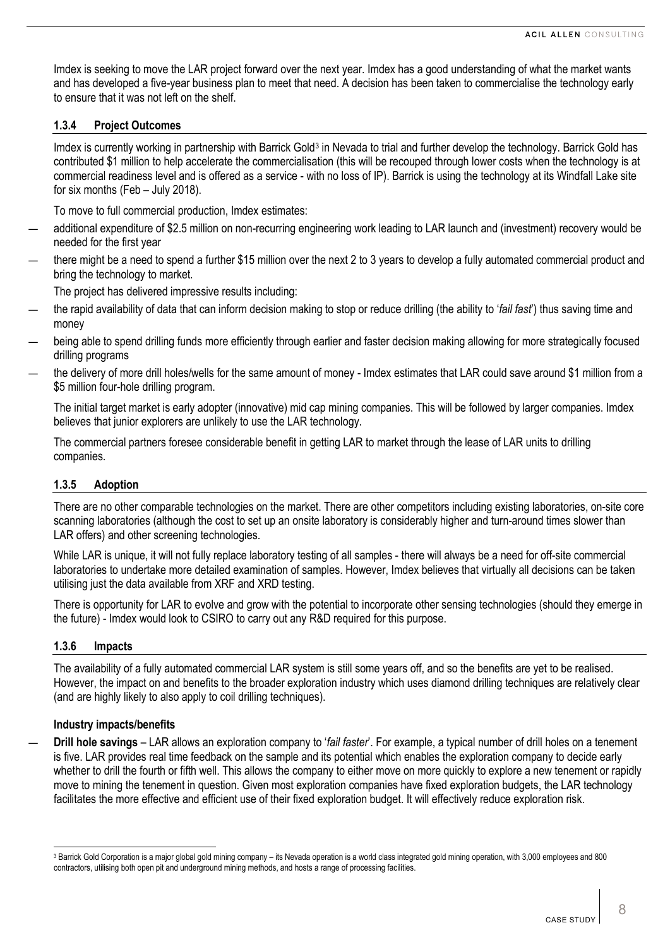Imdex is seeking to move the LAR project forward over the next year. Imdex has a good understanding of what the market wants and has developed a five-year business plan to meet that need. A decision has been taken to commercialise the technology early to ensure that it was not left on the shelf.

#### <span id="page-7-1"></span>**1.3.4 Project Outcomes**

Imdex is currently working in partnership with Barrick Gold<sup>[3](#page-7-0)</sup> in Nevada to trial and further develop the technology. Barrick Gold has contributed \$1 million to help accelerate the commercialisation (this will be recouped through lower costs when the technology is at commercial readiness level and is offered as a service - with no loss of IP). Barrick is using the technology at its Windfall Lake site for six months (Feb – July 2018).

To move to full commercial production, Imdex estimates:

- additional expenditure of \$2.5 million on non-recurring engineering work leading to LAR launch and (investment) recovery would be needed for the first year
- there might be a need to spend a further \$15 million over the next 2 to 3 years to develop a fully automated commercial product and bring the technology to market.

The project has delivered impressive results including:

- the rapid availability of data that can inform decision making to stop or reduce drilling (the ability to '*fail fast*') thus saving time and money
- being able to spend drilling funds more efficiently through earlier and faster decision making allowing for more strategically focused drilling programs
- the delivery of more drill holes/wells for the same amount of money Imdex estimates that LAR could save around \$1 million from a \$5 million four-hole drilling program.

The initial target market is early adopter (innovative) mid cap mining companies. This will be followed by larger companies. Imdex believes that junior explorers are unlikely to use the LAR technology.

The commercial partners foresee considerable benefit in getting LAR to market through the lease of LAR units to drilling companies.

# **1.3.5 Adoption**

There are no other comparable technologies on the market. There are other competitors including existing laboratories, on-site core scanning laboratories (although the cost to set up an onsite laboratory is considerably higher and turn-around times slower than LAR offers) and other screening technologies.

While LAR is unique, it will not fully replace laboratory testing of all samples - there will always be a need for off-site commercial laboratories to undertake more detailed examination of samples. However, Imdex believes that virtually all decisions can be taken utilising just the data available from XRF and XRD testing.

There is opportunity for LAR to evolve and grow with the potential to incorporate other sensing technologies (should they emerge in the future) - Imdex would look to CSIRO to carry out any R&D required for this purpose.

#### **1.3.6 Impacts**

The availability of a fully automated commercial LAR system is still some years off, and so the benefits are yet to be realised. However, the impact on and benefits to the broader exploration industry which uses diamond drilling techniques are relatively clear (and are highly likely to also apply to coil drilling techniques).

#### **Industry impacts/benefits**

— **Drill hole savings** – LAR allows an exploration company to '*fail faster*'. For example, a typical number of drill holes on a tenement is five. LAR provides real time feedback on the sample and its potential which enables the exploration company to decide early whether to drill the fourth or fifth well. This allows the company to either move on more quickly to explore a new tenement or rapidly move to mining the tenement in question. Given most exploration companies have fixed exploration budgets, the LAR technology facilitates the more effective and efficient use of their fixed exploration budget. It will effectively reduce exploration risk.

<span id="page-7-0"></span><sup>&</sup>lt;sup>3</sup> Barrick Gold Corporation is a major global gold mining company – its Nevada operation is a world class integrated gold mining operation, with 3,000 employees and 800 contractors, utilising both open pit and underground mining methods, and hosts a range of processing facilities.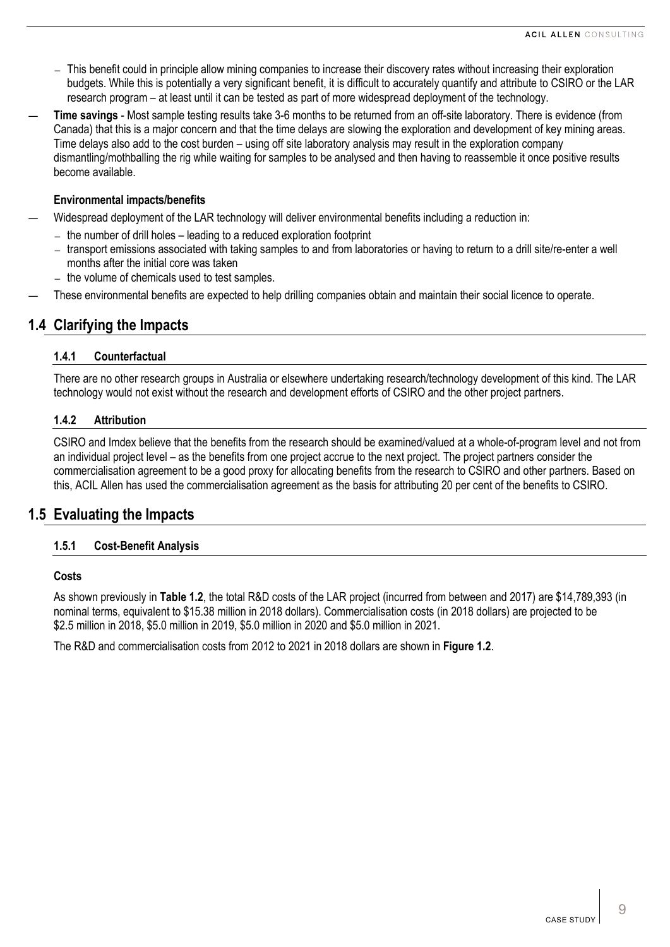- ― This benefit could in principle allow mining companies to increase their discovery rates without increasing their exploration budgets. While this is potentially a very significant benefit, it is difficult to accurately quantify and attribute to CSIRO or the LAR research program – at least until it can be tested as part of more widespread deployment of the technology.
- **Time savings** Most sample testing results take 3-6 months to be returned from an off-site laboratory. There is evidence (from Canada) that this is a major concern and that the time delays are slowing the exploration and development of key mining areas. Time delays also add to the cost burden – using off site laboratory analysis may result in the exploration company dismantling/mothballing the rig while waiting for samples to be analysed and then having to reassemble it once positive results become available.

# **Environmental impacts/benefits**

- Widespread deployment of the LAR technology will deliver environmental benefits including a reduction in:
	- ― the number of drill holes leading to a reduced exploration footprint
	- ― transport emissions associated with taking samples to and from laboratories or having to return to a drill site/re-enter a well months after the initial core was taken
	- ― the volume of chemicals used to test samples.
- These environmental benefits are expected to help drilling companies obtain and maintain their social licence to operate.

# **1.4 Clarifying the Impacts**

# **1.4.1 Counterfactual**

There are no other research groups in Australia or elsewhere undertaking research/technology development of this kind. The LAR technology would not exist without the research and development efforts of CSIRO and the other project partners.

# **1.4.2 Attribution**

CSIRO and Imdex believe that the benefits from the research should be examined/valued at a whole-of-program level and not from an individual project level – as the benefits from one project accrue to the next project. The project partners consider the commercialisation agreement to be a good proxy for allocating benefits from the research to CSIRO and other partners. Based on this, ACIL Allen has used the commercialisation agreement as the basis for attributing 20 per cent of the benefits to CSIRO.

# **1.5 Evaluating the Impacts**

# **1.5.1 Cost-Benefit Analysis**

#### **Costs**

As shown previously in **[Table](#page-2-1) 1.2**, the total R&D costs of the LAR project (incurred from between and 2017) are \$14,789,393 (in nominal terms, equivalent to \$15.38 million in 2018 dollars). Commercialisation costs (in 2018 dollars) are projected to be \$2.5 million in 2018, \$5.0 million in 2019, \$5.0 million in 2020 and \$5.0 million in 2021.

The R&D and commercialisation costs from 2012 to 2021 in 2018 dollars are shown in **[Figure](#page-9-0) 1.2**.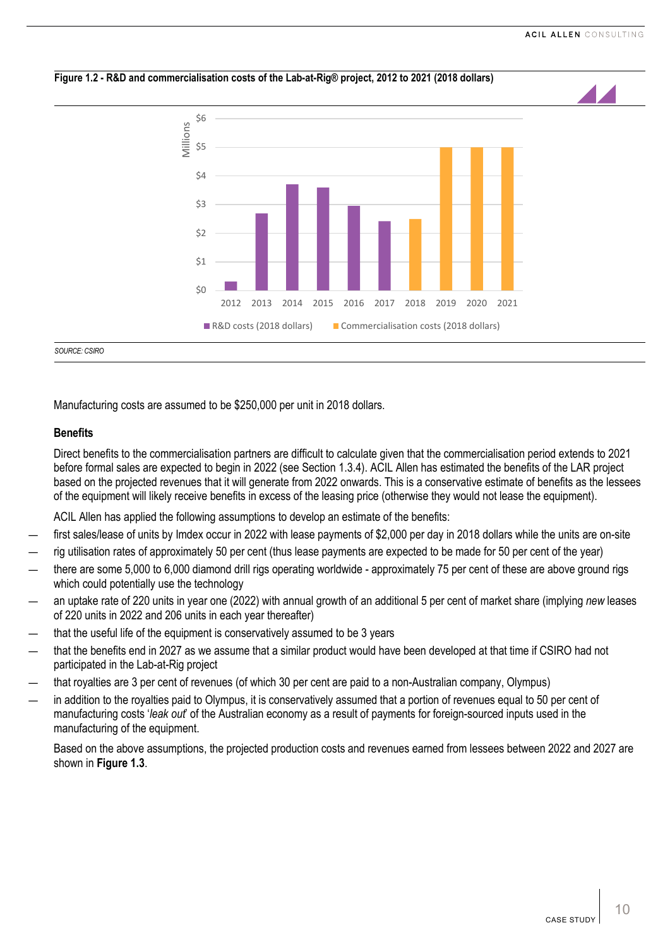<span id="page-9-0"></span>

Manufacturing costs are assumed to be \$250,000 per unit in 2018 dollars.

# **Benefits**

Direct benefits to the commercialisation partners are difficult to calculate given that the commercialisation period extends to 2021 before formal sales are expected to begin in 2022 (see Section [1.3.4\)](#page-7-1). ACIL Allen has estimated the benefits of the LAR project based on the projected revenues that it will generate from 2022 onwards. This is a conservative estimate of benefits as the lessees of the equipment will likely receive benefits in excess of the leasing price (otherwise they would not lease the equipment).

ACIL Allen has applied the following assumptions to develop an estimate of the benefits:

- first sales/lease of units by Imdex occur in 2022 with lease payments of \$2,000 per day in 2018 dollars while the units are on-site
- rig utilisation rates of approximately 50 per cent (thus lease payments are expected to be made for 50 per cent of the year)
- there are some 5,000 to 6,000 diamond drill rigs operating worldwide approximately 75 per cent of these are above ground rigs which could potentially use the technology
- an uptake rate of 220 units in year one (2022) with annual growth of an additional 5 per cent of market share (implying *new* leases of 220 units in 2022 and 206 units in each year thereafter)
- that the useful life of the equipment is conservatively assumed to be 3 years
- that the benefits end in 2027 as we assume that a similar product would have been developed at that time if CSIRO had not participated in the Lab-at-Rig project
- that royalties are 3 per cent of revenues (of which 30 per cent are paid to a non-Australian company, Olympus)
- in addition to the royalties paid to Olympus, it is conservatively assumed that a portion of revenues equal to 50 per cent of manufacturing costs '*leak out*' of the Australian economy as a result of payments for foreign-sourced inputs used in the manufacturing of the equipment.

Based on the above assumptions, the projected production costs and revenues earned from lessees between 2022 and 2027 are shown in **[Figure 1.3](#page-10-0)**.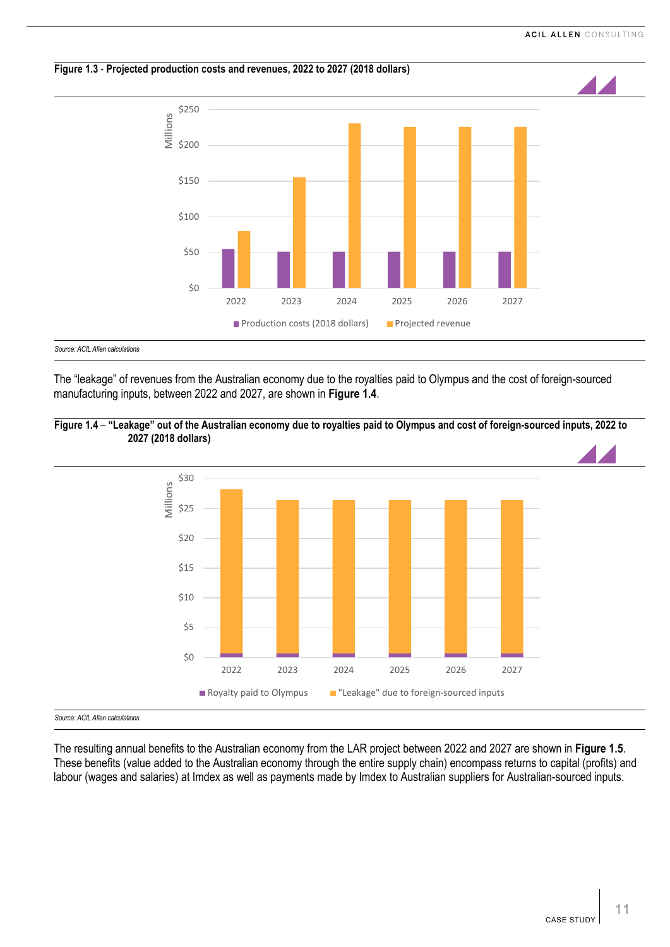<span id="page-10-0"></span>

The "leakage" of revenues from the Australian economy due to the royalties paid to Olympus and the cost of foreign-sourced manufacturing inputs, between 2022 and 2027, are shown in **[Figure 1.4](#page-10-1)**.



<span id="page-10-1"></span>**Figure 1.4** – **"Leakage" out of the Australian economy due to royalties paid to Olympus and cost of foreign-sourced inputs, 2022 to 2027 (2018 dollars)**

*Source: ACIL Allen calculations*

The resulting annual benefits to the Australian economy from the LAR project between 2022 and 2027 are shown in **[Figure 1.5](#page-11-0)**. These benefits (value added to the Australian economy through the entire supply chain) encompass returns to capital (profits) and labour (wages and salaries) at Imdex as well as payments made by Imdex to Australian suppliers for Australian-sourced inputs.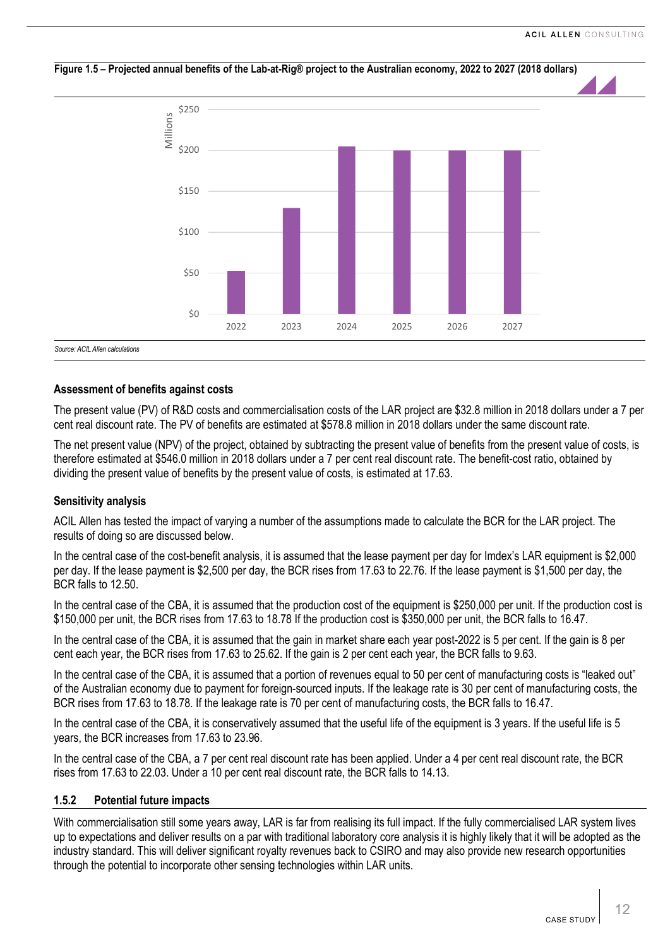

#### <span id="page-11-0"></span>**Figure 1.5 – Projected annual benefits of the Lab-at-Rig® project to the Australian economy, 2022 to 2027 (2018 dollars)**

#### **Assessment of benefits against costs**

The present value (PV) of R&D costs and commercialisation costs of the LAR project are \$32.8 million in 2018 dollars under a 7 per cent real discount rate. The PV of benefits are estimated at \$578.8 million in 2018 dollars under the same discount rate.

The net present value (NPV) of the project, obtained by subtracting the present value of benefits from the present value of costs, is therefore estimated at \$546.0 million in 2018 dollars under a 7 per cent real discount rate. The benefit-cost ratio, obtained by dividing the present value of benefits by the present value of costs, is estimated at 17.63.

#### **Sensitivity analysis**

ACIL Allen has tested the impact of varying a number of the assumptions made to calculate the BCR for the LAR project. The results of doing so are discussed below.

In the central case of the cost-benefit analysis, it is assumed that the lease payment per day for Imdex's LAR equipment is \$2,000 per day. If the lease payment is \$2,500 per day, the BCR rises from 17.63 to 22.76. If the lease payment is \$1,500 per day, the BCR falls to 12.50.

In the central case of the CBA, it is assumed that the production cost of the equipment is \$250,000 per unit. If the production cost is \$150,000 per unit, the BCR rises from 17.63 to 18.78 If the production cost is \$350,000 per unit, the BCR falls to 16.47.

In the central case of the CBA, it is assumed that the gain in market share each year post-2022 is 5 per cent. If the gain is 8 per cent each year, the BCR rises from 17.63 to 25.62. If the gain is 2 per cent each year, the BCR falls to 9.63.

In the central case of the CBA, it is assumed that a portion of revenues equal to 50 per cent of manufacturing costs is "leaked out" of the Australian economy due to payment for foreign-sourced inputs. If the leakage rate is 30 per cent of manufacturing costs, the BCR rises from 17.63 to 18.78. If the leakage rate is 70 per cent of manufacturing costs, the BCR falls to 16.47.

In the central case of the CBA, it is conservatively assumed that the useful life of the equipment is 3 years. If the useful life is 5 years, the BCR increases from 17.63 to 23.96.

In the central case of the CBA, a 7 per cent real discount rate has been applied. Under a 4 per cent real discount rate, the BCR rises from 17.63 to 22.03. Under a 10 per cent real discount rate, the BCR falls to 14.13.

#### **1.5.2 Potential future impacts**

With commercialisation still some years away, LAR is far from realising its full impact. If the fully commercialised LAR system lives up to expectations and deliver results on a par with traditional laboratory core analysis it is highly likely that it will be adopted as the industry standard. This will deliver significant royalty revenues back to CSIRO and may also provide new research opportunities through the potential to incorporate other sensing technologies within LAR units.